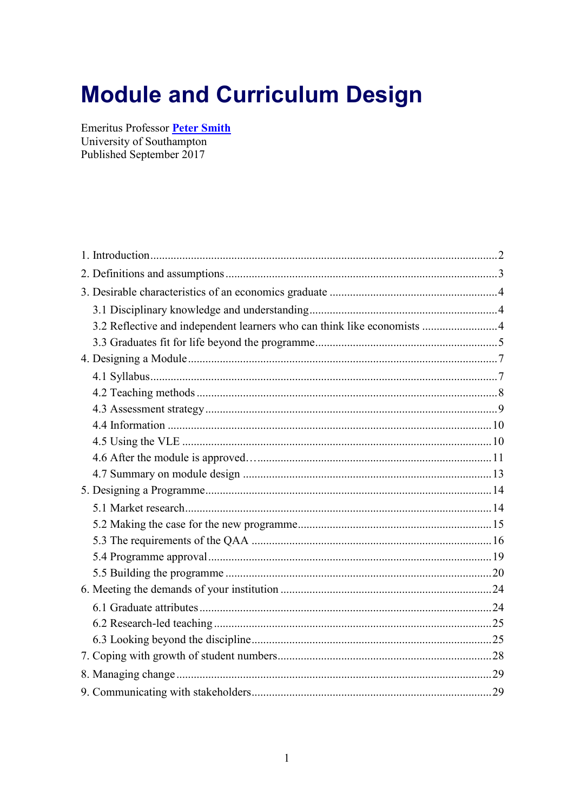# **Module and Curriculum Design**

Emeritus Professor Peter Smith University of Southampton Published September 2017

| 3.2 Reflective and independent learners who can think like economists  4 |  |
|--------------------------------------------------------------------------|--|
|                                                                          |  |
|                                                                          |  |
|                                                                          |  |
|                                                                          |  |
|                                                                          |  |
|                                                                          |  |
|                                                                          |  |
|                                                                          |  |
|                                                                          |  |
|                                                                          |  |
|                                                                          |  |
|                                                                          |  |
|                                                                          |  |
|                                                                          |  |
|                                                                          |  |
|                                                                          |  |
|                                                                          |  |
|                                                                          |  |
|                                                                          |  |
|                                                                          |  |
|                                                                          |  |
|                                                                          |  |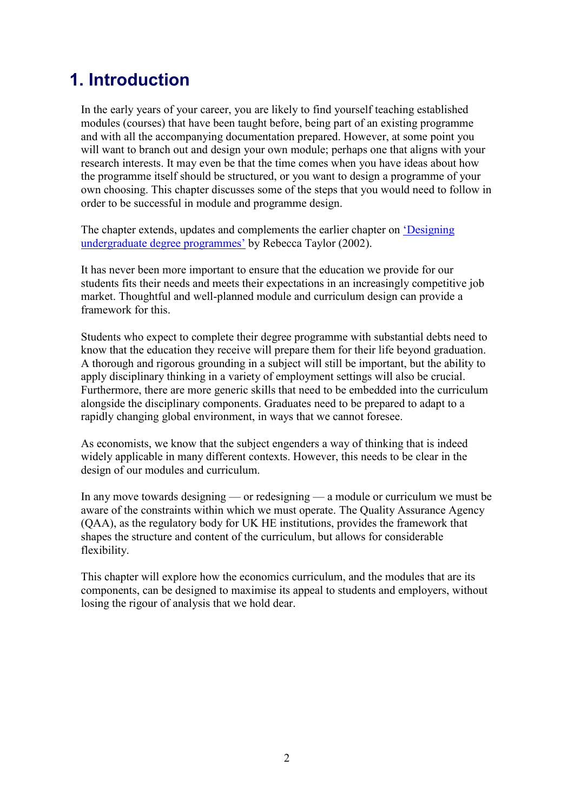# <span id="page-1-0"></span>1. Introduction

In the early years of your career, you are likely to find yourself teaching established modules (courses) that have been taught before, being part of an existing programme and with all the accompanying documentation prepared. However, at some point you will want to branch out and design your own module; perhaps one that aligns with your research interests. It may even be that the time comes when you have ideas about how the programme itself should be structured, or you want to design a programme of your own choosing. This chapter discusses some of the steps that you would need to follow in order to be successful in module and programme design.

The chapter extends, updates and complements the earlier chapter on ['Designing](https://www.economicsnetwork.ac.uk/handbook/programmes)  [undergraduate degree programmes'](https://www.economicsnetwork.ac.uk/handbook/programmes) by Rebecca Taylor (2002).

It has never been more important to ensure that the education we provide for our students fits their needs and meets their expectations in an increasingly competitive job market. Thoughtful and well-planned module and curriculum design can provide a framework for this.

Students who expect to complete their degree programme with substantial debts need to know that the education they receive will prepare them for their life beyond graduation. A thorough and rigorous grounding in a subject will still be important, but the ability to apply disciplinary thinking in a variety of employment settings will also be crucial. Furthermore, there are more generic skills that need to be embedded into the curriculum alongside the disciplinary components. Graduates need to be prepared to adapt to a rapidly changing global environment, in ways that we cannot foresee.

As economists, we know that the subject engenders a way of thinking that is indeed widely applicable in many different contexts. However, this needs to be clear in the design of our modules and curriculum.

In any move towards designing — or redesigning — a module or curriculum we must be aware of the constraints within which we must operate. The Quality Assurance Agency (QAA), as the regulatory body for UK HE institutions, provides the framework that shapes the structure and content of the curriculum, but allows for considerable flexibility.

This chapter will explore how the economics curriculum, and the modules that are its components, can be designed to maximise its appeal to students and employers, without losing the rigour of analysis that we hold dear.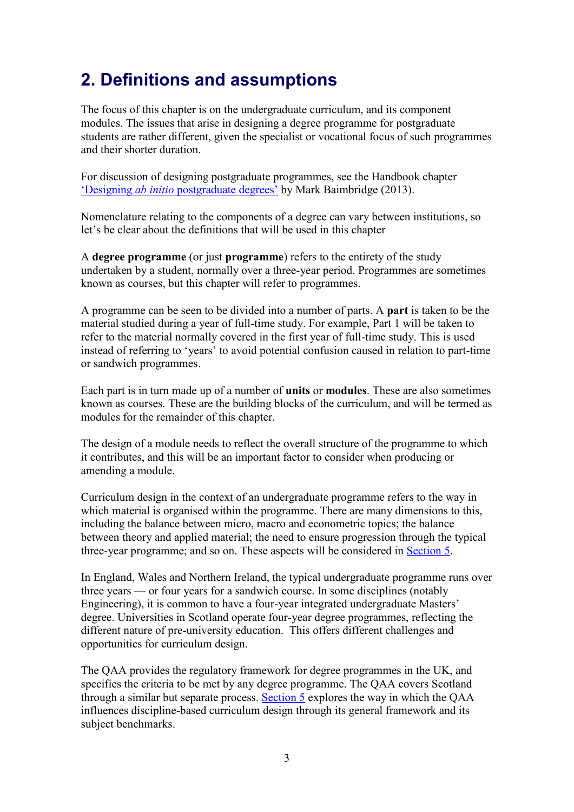# <span id="page-2-0"></span>2. Definitions and assumptions

The focus of this chapter is on the undergraduate curriculum, and its component modules. The issues that arise in designing a degree programme for postgraduate students are rather different, given the specialist or vocational focus of such programmes and their shorter duration.

For discussion of designing postgraduate programmes, see the Handbook chapter 'Designing *ab initio* [postgraduate degrees'](https://www.economicsnetwork.ac.uk/handbook/pg_degrees) by Mark Baimbridge (2013).

Nomenclature relating to the components of a degree can vary between institutions, so let's be clear about the definitions that will be used in this chapter

A **degree programme** (or just **programme**) refers to the entirety of the study undertaken by a student, normally over a three-year period. Programmes are sometimes known as courses, but this chapter will refer to programmes.

A programme can be seen to be divided into a number of parts. A **part** is taken to be the material studied during a year of full-time study. For example, Part 1 will be taken to refer to the material normally covered in the first year of full-time study. This is used instead of referring to 'years' to avoid potential confusion caused in relation to part-time or sandwich programmes.

Each part is in turn made up of a number of **units** or **modules**. These are also sometimes known as courses. These are the building blocks of the curriculum, and will be termed as modules for the remainder of this chapter.

The design of a module needs to reflect the overall structure of the programme to which it contributes, and this will be an important factor to consider when producing or amending a module.

Curriculum design in the context of an undergraduate programme refers to the way in which material is organised within the programme. There are many dimensions to this, including the balance between micro, macro and econometric topics; the balance between theory and applied material; the need to ensure progression through the typical three-year programme; and so on. These aspects will be considered in [Section 5.](https://www.economicsnetwork.ac.uk/handbook/moduledesign/5)

In England, Wales and Northern Ireland, the typical undergraduate programme runs over three years — or four years for a sandwich course. In some disciplines (notably Engineering), it is common to have a four-year integrated undergraduate Masters' degree. Universities in Scotland operate four-year degree programmes, reflecting the different nature of pre-university education. This offers different challenges and opportunities for curriculum design.

The QAA provides the regulatory framework for degree programmes in the UK, and specifies the criteria to be met by any degree programme. The QAA covers Scotland through a similar but separate process. [Section 5](https://www.economicsnetwork.ac.uk/handbook/moduledesign/5) explores the way in which the QAA influences discipline-based curriculum design through its general framework and its subject benchmarks.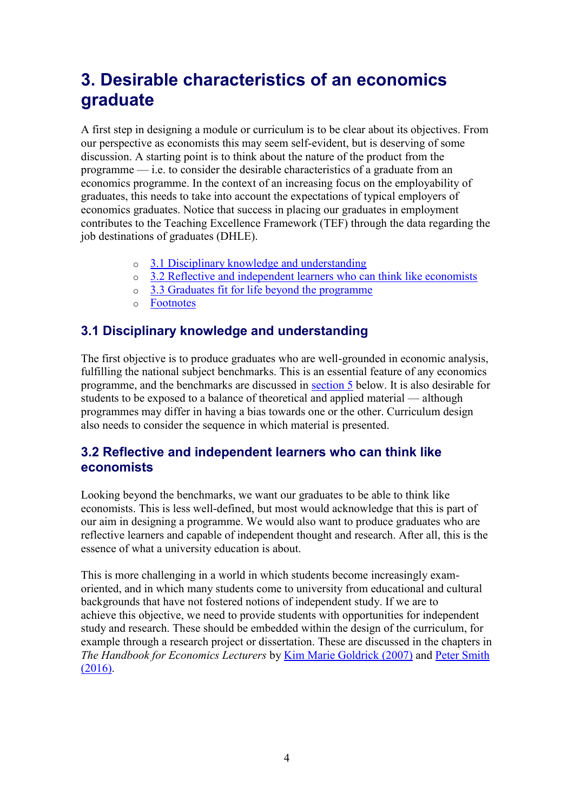# <span id="page-3-0"></span>3. Desirable characteristics of an economics graduate

A first step in designing a module or curriculum is to be clear about its objectives. From our perspective as economists this may seem self-evident, but is deserving of some discussion. A starting point is to think about the nature of the product from the programme — i.e. to consider the desirable characteristics of a graduate from an economics programme. In the context of an increasing focus on the employability of graduates, this needs to take into account the expectations of typical employers of economics graduates. Notice that success in placing our graduates in employment contributes to the Teaching Excellence Framework (TEF) through the data regarding the job destinations of graduates (DHLE).

- o [3.1 Disciplinary knowledge and understanding](https://www.economicsnetwork.ac.uk/#Disciplinary_knowledge_and_understanding)
- o [3.2 Reflective and independent learners who can think like economists](https://www.economicsnetwork.ac.uk/#Reflective_and_independent_learners_who_can_think_like_economists)
- o [3.3 Graduates fit for life beyond the programme](https://www.economicsnetwork.ac.uk/#Graduates_fit_for_life_beyond_the_programme)
- o [Footnotes](https://www.economicsnetwork.ac.uk/#Footnotes)

# <span id="page-3-1"></span>3.1 Disciplinary knowledge and understanding

The first objective is to produce graduates who are well-grounded in economic analysis, fulfilling the national subject benchmarks. This is an essential feature of any economics programme, and the benchmarks are discussed in [section 5](https://www.economicsnetwork.ac.uk/handbook/moduledesign/5) below. It is also desirable for students to be exposed to a balance of theoretical and applied material — although programmes may differ in having a bias towards one or the other. Curriculum design also needs to consider the sequence in which material is presented.

# <span id="page-3-2"></span>3.2 Reflective and independent learners who can think like economists

Looking beyond the benchmarks, we want our graduates to be able to think like economists. This is less well-defined, but most would acknowledge that this is part of our aim in designing a programme. We would also want to produce graduates who are reflective learners and capable of independent thought and research. After all, this is the essence of what a university education is about.

<span id="page-3-3"></span>This is more challenging in a world in which students become increasingly examoriented, and in which many students come to university from educational and cultural backgrounds that have not fostered notions of independent study. If we are to achieve this objective, we need to provide students with opportunities for independent study and research. These should be embedded within the design of the curriculum, for example through a research project or dissertation. These are discussed in the chapters in *The Handbook for Economics Lecturers* by [Kim Marie Goldrick \(2007\)](https://www.economicsnetwork.ac.uk/handbook/ugresearch) and [Peter Smith](https://www.economicsnetwork.ac.uk/handbook/dissertations)  [\(2016\).](https://www.economicsnetwork.ac.uk/handbook/dissertations)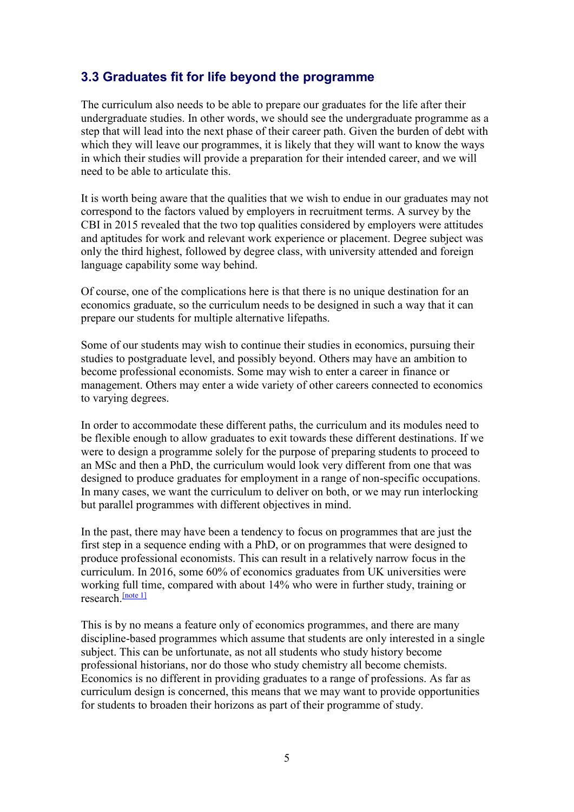# 3.3 Graduates fit for life beyond the programme

The curriculum also needs to be able to prepare our graduates for the life after their undergraduate studies. In other words, we should see the undergraduate programme as a step that will lead into the next phase of their career path. Given the burden of debt with which they will leave our programmes, it is likely that they will want to know the ways in which their studies will provide a preparation for their intended career, and we will need to be able to articulate this.

It is worth being aware that the qualities that we wish to endue in our graduates may not correspond to the factors valued by employers in recruitment terms. A survey by the CBI in 2015 revealed that the two top qualities considered by employers were attitudes and aptitudes for work and relevant work experience or placement. Degree subject was only the third highest, followed by degree class, with university attended and foreign language capability some way behind.

Of course, one of the complications here is that there is no unique destination for an economics graduate, so the curriculum needs to be designed in such a way that it can prepare our students for multiple alternative lifepaths.

Some of our students may wish to continue their studies in economics, pursuing their studies to postgraduate level, and possibly beyond. Others may have an ambition to become professional economists. Some may wish to enter a career in finance or management. Others may enter a wide variety of other careers connected to economics to varying degrees.

In order to accommodate these different paths, the curriculum and its modules need to be flexible enough to allow graduates to exit towards these different destinations. If we were to design a programme solely for the purpose of preparing students to proceed to an MSc and then a PhD, the curriculum would look very different from one that was designed to produce graduates for employment in a range of non-specific occupations. In many cases, we want the curriculum to deliver on both, or we may run interlocking but parallel programmes with different objectives in mind.

In the past, there may have been a tendency to focus on programmes that are just the first step in a sequence ending with a PhD, or on programmes that were designed to produce professional economists. This can result in a relatively narrow focus in the curriculum. In 2016, some 60% of economics graduates from UK universities were working full time, compared with about 14% who were in further study, training or research [\[note 1\]](https://www.economicsnetwork.ac.uk/#_ftn2)

This is by no means a feature only of economics programmes, and there are many discipline-based programmes which assume that students are only interested in a single subject. This can be unfortunate, as not all students who study history become professional historians, nor do those who study chemistry all become chemists. Economics is no different in providing graduates to a range of professions. As far as curriculum design is concerned, this means that we may want to provide opportunities for students to broaden their horizons as part of their programme of study.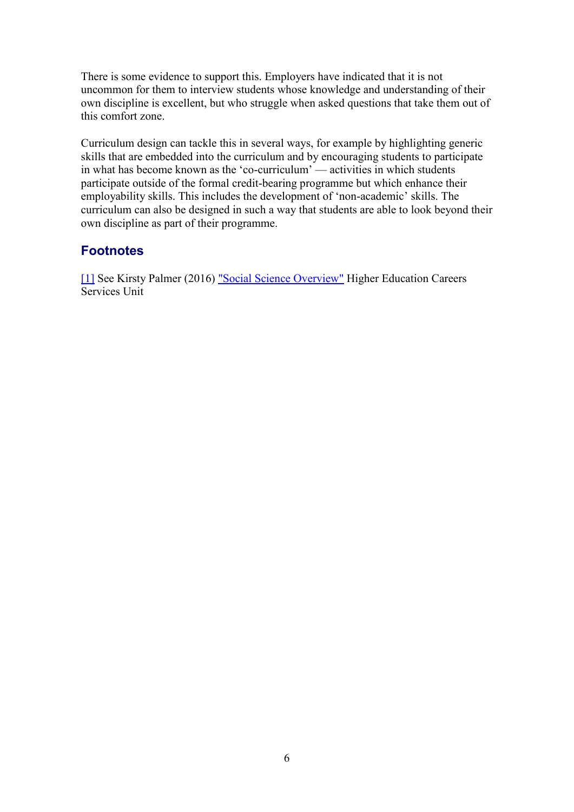There is some evidence to support this. Employers have indicated that it is not uncommon for them to interview students whose knowledge and understanding of their own discipline is excellent, but who struggle when asked questions that take them out of this comfort zone.

Curriculum design can tackle this in several ways, for example by highlighting generic skills that are embedded into the curriculum and by encouraging students to participate in what has become known as the 'co-curriculum' — activities in which students participate outside of the formal credit-bearing programme but which enhance their employability skills. This includes the development of 'non-academic' skills. The curriculum can also be designed in such a way that students are able to look beyond their own discipline as part of their programme.

### **Footnotes**

[\[1\]](https://www.economicsnetwork.ac.uk/#_ftnref2) See Kirsty Palmer (2016) ["Social Science Overview"](https://www.hecsu.ac.uk/assets/assets/documents/Social_science_2016.pdf) Higher Education Careers Services Unit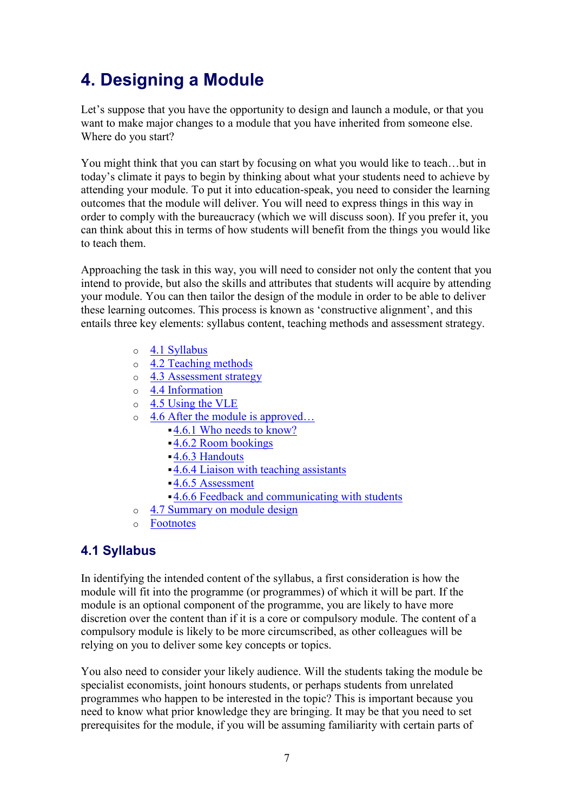# <span id="page-6-0"></span>4. Designing a Module

Let's suppose that you have the opportunity to design and launch a module, or that you want to make major changes to a module that you have inherited from someone else. Where do you start?

You might think that you can start by focusing on what you would like to teach…but in today's climate it pays to begin by thinking about what your students need to achieve by attending your module. To put it into education-speak, you need to consider the learning outcomes that the module will deliver. You will need to express things in this way in order to comply with the bureaucracy (which we will discuss soon). If you prefer it, you can think about this in terms of how students will benefit from the things you would like to teach them.

Approaching the task in this way, you will need to consider not only the content that you intend to provide, but also the skills and attributes that students will acquire by attending your module. You can then tailor the design of the module in order to be able to deliver these learning outcomes. This process is known as 'constructive alignment', and this entails three key elements: syllabus content, teaching methods and assessment strategy.

- o [4.1 Syllabus](https://www.economicsnetwork.ac.uk/#Syllabus)
- o [4.2 Teaching methods](https://www.economicsnetwork.ac.uk/#Teaching_methods)
- o [4.3 Assessment strategy](https://www.economicsnetwork.ac.uk/#Assessment_strategy)
- o [4.4 Information](https://www.economicsnetwork.ac.uk/#Information)
- o [4.5 Using the VLE](https://www.economicsnetwork.ac.uk/#Using_the_VLE)
- o [4.6 After the module is approved…](https://www.economicsnetwork.ac.uk/#After_the_module_is_approved)
	- ▪[4.6.1 Who needs to know?](https://www.economicsnetwork.ac.uk/#Who_needs_to_know)
	- ▪[4.6.2 Room bookings](https://www.economicsnetwork.ac.uk/#Room_bookings)
	- ▪4.6.3 [Handouts](https://www.economicsnetwork.ac.uk/#Handouts)
	- ▪[4.6.4 Liaison with teaching assistants](https://www.economicsnetwork.ac.uk/#Liaison_with_teaching_assistants)
	- ▪[4.6.5 Assessment](https://www.economicsnetwork.ac.uk/#Assessment)
	- ▪[4.6.6 Feedback and communicating with students](https://www.economicsnetwork.ac.uk/#Feedback_and_communicating_with_students)
- o [4.7 Summary on module design](https://www.economicsnetwork.ac.uk/#Summary_on_module_design)
- o [Footnotes](https://www.economicsnetwork.ac.uk/#Footnotes)

# <span id="page-6-1"></span>4.1 Syllabus

In identifying the intended content of the syllabus, a first consideration is how the module will fit into the programme (or programmes) of which it will be part. If the module is an optional component of the programme, you are likely to have more discretion over the content than if it is a core or compulsory module. The content of a compulsory module is likely to be more circumscribed, as other colleagues will be relying on you to deliver some key concepts or topics.

You also need to consider your likely audience. Will the students taking the module be specialist economists, joint honours students, or perhaps students from unrelated programmes who happen to be interested in the topic? This is important because you need to know what prior knowledge they are bringing. It may be that you need to set prerequisites for the module, if you will be assuming familiarity with certain parts of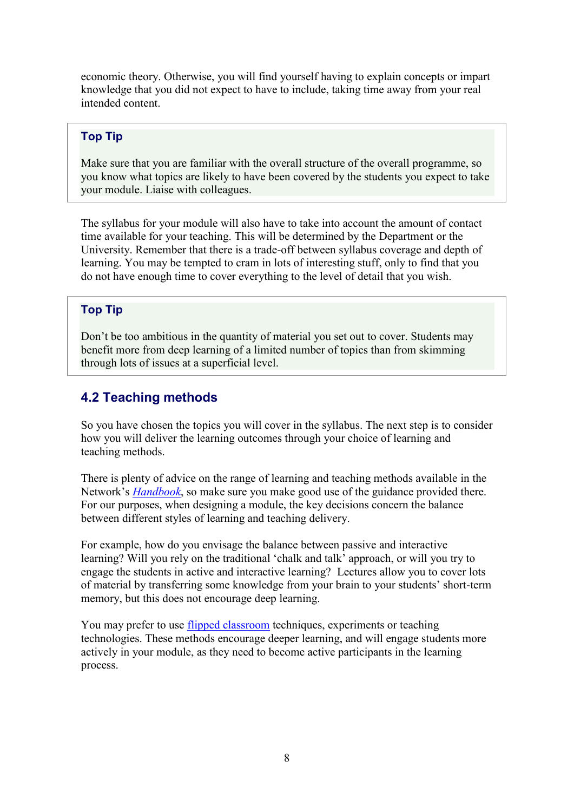economic theory. Otherwise, you will find yourself having to explain concepts or impart knowledge that you did not expect to have to include, taking time away from your real intended content.

#### Top Tip

Make sure that you are familiar with the overall structure of the overall programme, so you know what topics are likely to have been covered by the students you expect to take your module. Liaise with colleagues.

The syllabus for your module will also have to take into account the amount of contact time available for your teaching. This will be determined by the Department or the University. Remember that there is a trade-off between syllabus coverage and depth of learning. You may be tempted to cram in lots of interesting stuff, only to find that you do not have enough time to cover everything to the level of detail that you wish.

#### Top Tip

Don't be too ambitious in the quantity of material you set out to cover. Students may benefit more from deep learning of a limited number of topics than from skimming through lots of issues at a superficial level.

### <span id="page-7-0"></span>4.2 Teaching methods

So you have chosen the topics you will cover in the syllabus. The next step is to consider how you will deliver the learning outcomes through your choice of learning and teaching methods.

There is plenty of advice on the range of learning and teaching methods available in the Network's *[Handbook](https://www.economicsnetwork.ac.uk/handbook/)*, so make sure you make good use of the guidance provided there. For our purposes, when designing a module, the key decisions concern the balance between different styles of learning and teaching delivery.

For example, how do you envisage the balance between passive and interactive learning? Will you rely on the traditional 'chalk and talk' approach, or will you try to engage the students in active and interactive learning? Lectures allow you to cover lots of material by transferring some knowledge from your brain to your students' short-term memory, but this does not encourage deep learning.

You may prefer to use *flipped classroom* techniques, experiments or teaching technologies. These methods encourage deeper learning, and will engage students more actively in your module, as they need to become active participants in the learning process.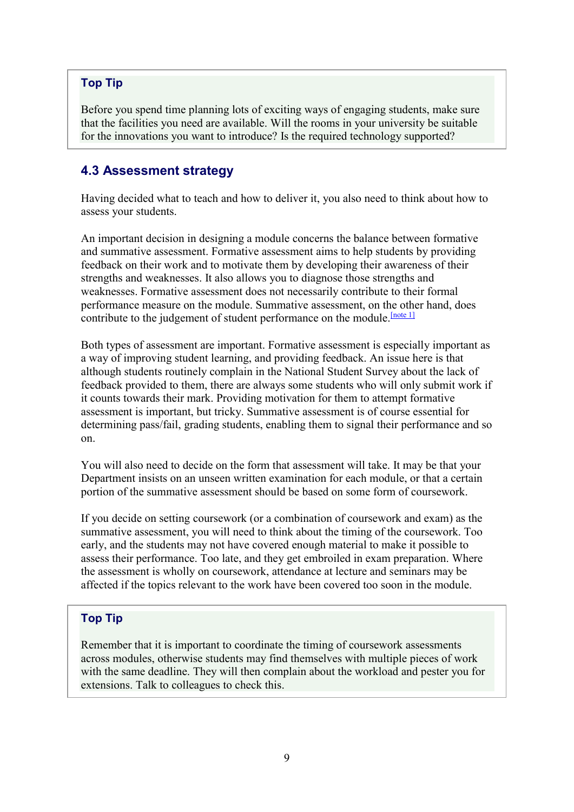#### Top Tip

Before you spend time planning lots of exciting ways of engaging students, make sure that the facilities you need are available. Will the rooms in your university be suitable for the innovations you want to introduce? Is the required technology supported?

### <span id="page-8-0"></span>4.3 Assessment strategy

Having decided what to teach and how to deliver it, you also need to think about how to assess your students.

An important decision in designing a module concerns the balance between formative and summative assessment. Formative assessment aims to help students by providing feedback on their work and to motivate them by developing their awareness of their strengths and weaknesses. It also allows you to diagnose those strengths and weaknesses. Formative assessment does not necessarily contribute to their formal performance measure on the module. Summative assessment, on the other hand, does contribute to the judgement of student performance on the module. [\[note 1\]](https://www.economicsnetwork.ac.uk/#_ftn2)

Both types of assessment are important. Formative assessment is especially important as a way of improving student learning, and providing feedback. An issue here is that although students routinely complain in the National Student Survey about the lack of feedback provided to them, there are always some students who will only submit work if it counts towards their mark. Providing motivation for them to attempt formative assessment is important, but tricky. Summative assessment is of course essential for determining pass/fail, grading students, enabling them to signal their performance and so on.

You will also need to decide on the form that assessment will take. It may be that your Department insists on an unseen written examination for each module, or that a certain portion of the summative assessment should be based on some form of coursework.

If you decide on setting coursework (or a combination of coursework and exam) as the summative assessment, you will need to think about the timing of the coursework. Too early, and the students may not have covered enough material to make it possible to assess their performance. Too late, and they get embroiled in exam preparation. Where the assessment is wholly on coursework, attendance at lecture and seminars may be affected if the topics relevant to the work have been covered too soon in the module.

#### Top Tip

<span id="page-8-1"></span>Remember that it is important to coordinate the timing of coursework assessments across modules, otherwise students may find themselves with multiple pieces of work with the same deadline. They will then complain about the workload and pester you for extensions. Talk to colleagues to check this.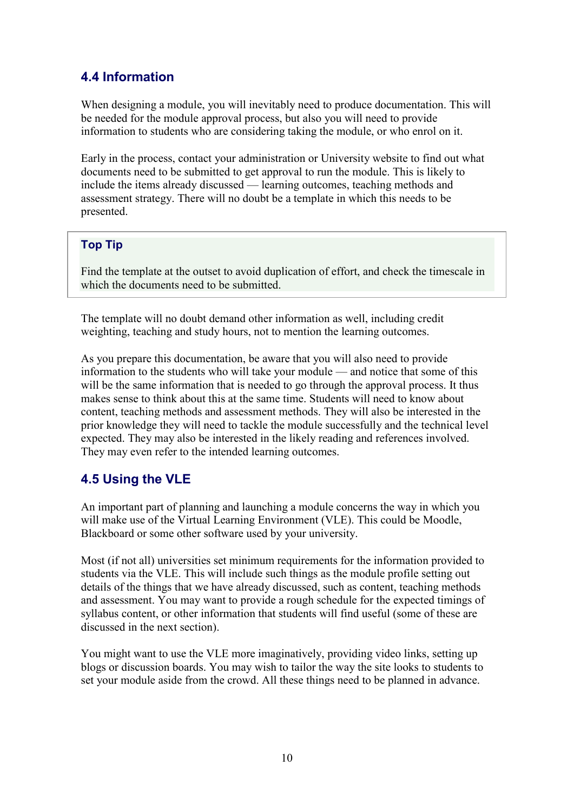# 4.4 Information

When designing a module, you will inevitably need to produce documentation. This will be needed for the module approval process, but also you will need to provide information to students who are considering taking the module, or who enrol on it.

Early in the process, contact your administration or University website to find out what documents need to be submitted to get approval to run the module. This is likely to include the items already discussed — learning outcomes, teaching methods and assessment strategy. There will no doubt be a template in which this needs to be presented.

#### Top Tip

Find the template at the outset to avoid duplication of effort, and check the timescale in which the documents need to be submitted.

The template will no doubt demand other information as well, including credit weighting, teaching and study hours, not to mention the learning outcomes.

As you prepare this documentation, be aware that you will also need to provide information to the students who will take your module — and notice that some of this will be the same information that is needed to go through the approval process. It thus makes sense to think about this at the same time. Students will need to know about content, teaching methods and assessment methods. They will also be interested in the prior knowledge they will need to tackle the module successfully and the technical level expected. They may also be interested in the likely reading and references involved. They may even refer to the intended learning outcomes.

# <span id="page-9-0"></span>4.5 Using the VLE

An important part of planning and launching a module concerns the way in which you will make use of the Virtual Learning Environment (VLE). This could be Moodle, Blackboard or some other software used by your university.

Most (if not all) universities set minimum requirements for the information provided to students via the VLE. This will include such things as the module profile setting out details of the things that we have already discussed, such as content, teaching methods and assessment. You may want to provide a rough schedule for the expected timings of syllabus content, or other information that students will find useful (some of these are discussed in the next section).

<span id="page-9-1"></span>You might want to use the VLE more imaginatively, providing video links, setting up blogs or discussion boards. You may wish to tailor the way the site looks to students to set your module aside from the crowd. All these things need to be planned in advance.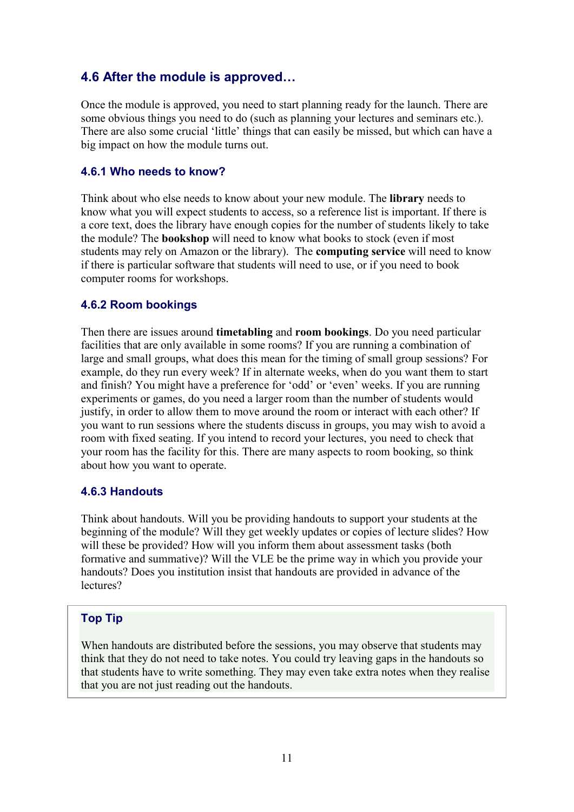# 4.6 After the module is approved…

Once the module is approved, you need to start planning ready for the launch. There are some obvious things you need to do (such as planning your lectures and seminars etc.). There are also some crucial 'little' things that can easily be missed, but which can have a big impact on how the module turns out.

#### 4.6.1 Who needs to know?

Think about who else needs to know about your new module. The **library** needs to know what you will expect students to access, so a reference list is important. If there is a core text, does the library have enough copies for the number of students likely to take the module? The **bookshop** will need to know what books to stock (even if most students may rely on Amazon or the library). The **computing service** will need to know if there is particular software that students will need to use, or if you need to book computer rooms for workshops.

#### 4.6.2 Room bookings

Then there are issues around **timetabling** and **room bookings**. Do you need particular facilities that are only available in some rooms? If you are running a combination of large and small groups, what does this mean for the timing of small group sessions? For example, do they run every week? If in alternate weeks, when do you want them to start and finish? You might have a preference for 'odd' or 'even' weeks. If you are running experiments or games, do you need a larger room than the number of students would justify, in order to allow them to move around the room or interact with each other? If you want to run sessions where the students discuss in groups, you may wish to avoid a room with fixed seating. If you intend to record your lectures, you need to check that your room has the facility for this. There are many aspects to room booking, so think about how you want to operate.

#### 4.6.3 Handouts

Think about handouts. Will you be providing handouts to support your students at the beginning of the module? Will they get weekly updates or copies of lecture slides? How will these be provided? How will you inform them about assessment tasks (both formative and summative)? Will the VLE be the prime way in which you provide your handouts? Does you institution insist that handouts are provided in advance of the lectures?

#### Top Tip

When handouts are distributed before the sessions, you may observe that students may think that they do not need to take notes. You could try leaving gaps in the handouts so that students have to write something. They may even take extra notes when they realise that you are not just reading out the handouts.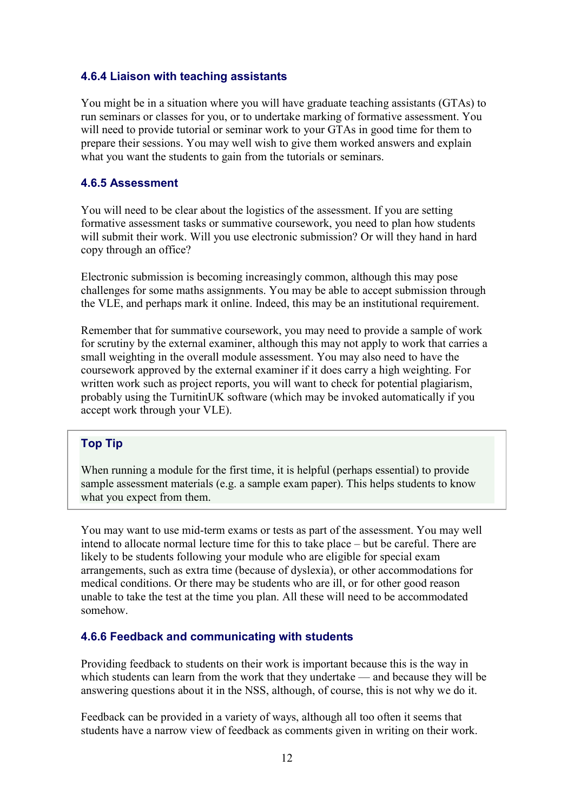#### 4.6.4 Liaison with teaching assistants

You might be in a situation where you will have graduate teaching assistants (GTAs) to run seminars or classes for you, or to undertake marking of formative assessment. You will need to provide tutorial or seminar work to your GTAs in good time for them to prepare their sessions. You may well wish to give them worked answers and explain what you want the students to gain from the tutorials or seminars.

#### 4.6.5 Assessment

You will need to be clear about the logistics of the assessment. If you are setting formative assessment tasks or summative coursework, you need to plan how students will submit their work. Will you use electronic submission? Or will they hand in hard copy through an office?

Electronic submission is becoming increasingly common, although this may pose challenges for some maths assignments. You may be able to accept submission through the VLE, and perhaps mark it online. Indeed, this may be an institutional requirement.

Remember that for summative coursework, you may need to provide a sample of work for scrutiny by the external examiner, although this may not apply to work that carries a small weighting in the overall module assessment. You may also need to have the coursework approved by the external examiner if it does carry a high weighting. For written work such as project reports, you will want to check for potential plagiarism, probably using the TurnitinUK software (which may be invoked automatically if you accept work through your VLE).

#### Top Tip

When running a module for the first time, it is helpful (perhaps essential) to provide sample assessment materials (e.g. a sample exam paper). This helps students to know what you expect from them.

You may want to use mid-term exams or tests as part of the assessment. You may well intend to allocate normal lecture time for this to take place – but be careful. There are likely to be students following your module who are eligible for special exam arrangements, such as extra time (because of dyslexia), or other accommodations for medical conditions. Or there may be students who are ill, or for other good reason unable to take the test at the time you plan. All these will need to be accommodated somehow.

#### 4.6.6 Feedback and communicating with students

Providing feedback to students on their work is important because this is the way in which students can learn from the work that they undertake — and because they will be answering questions about it in the NSS, although, of course, this is not why we do it.

Feedback can be provided in a variety of ways, although all too often it seems that students have a narrow view of feedback as comments given in writing on their work.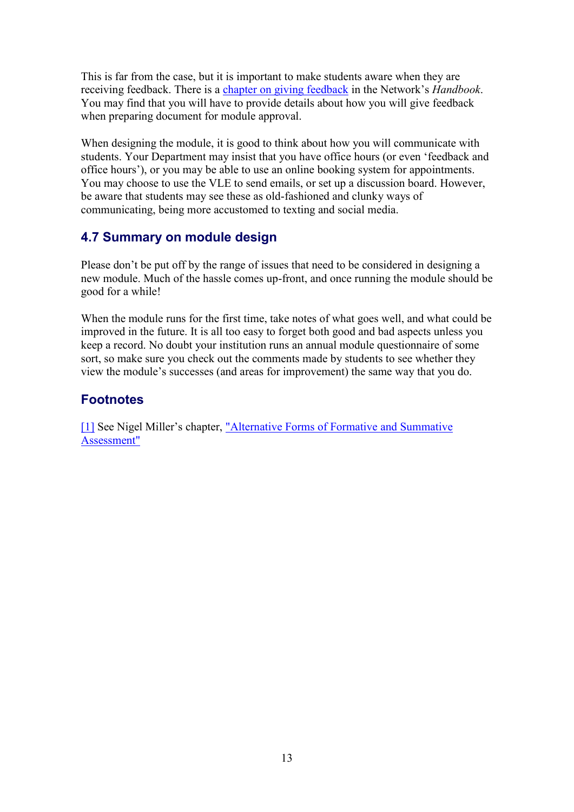This is far from the case, but it is important to make students aware when they are receiving feedback. There is a [chapter on giving feedback](https://www.economicsnetwork.ac.uk/handbook/feedback) in the Network's *Handbook*. You may find that you will have to provide details about how you will give feedback when preparing document for module approval.

When designing the module, it is good to think about how you will communicate with students. Your Department may insist that you have office hours (or even 'feedback and office hours'), or you may be able to use an online booking system for appointments. You may choose to use the VLE to send emails, or set up a discussion board. However, be aware that students may see these as old-fashioned and clunky ways of communicating, being more accustomed to texting and social media.

# <span id="page-12-0"></span>4.7 Summary on module design

Please don't be put off by the range of issues that need to be considered in designing a new module. Much of the hassle comes up-front, and once running the module should be good for a while!

When the module runs for the first time, take notes of what goes well, and what could be improved in the future. It is all too easy to forget both good and bad aspects unless you keep a record. No doubt your institution runs an annual module questionnaire of some sort, so make sure you check out the comments made by students to see whether they view the module's successes (and areas for improvement) the same way that you do.

# **Footnotes**

[\[1\]](https://www.economicsnetwork.ac.uk/#_ftnref2) See Nigel Miller's chapter, ["Alternative Forms of Formative and Summative](https://www.economicsnetwork.ac.uk/handbook/assessment)  [Assessment"](https://www.economicsnetwork.ac.uk/handbook/assessment)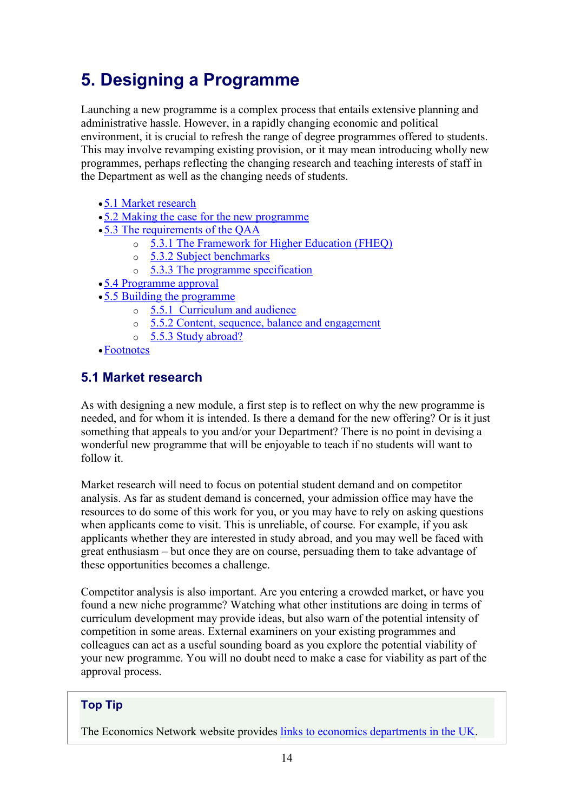# <span id="page-13-0"></span>5. Designing a Programme

Launching a new programme is a complex process that entails extensive planning and administrative hassle. However, in a rapidly changing economic and political environment, it is crucial to refresh the range of degree programmes offered to students. This may involve revamping existing provision, or it may mean introducing wholly new programmes, perhaps reflecting the changing research and teaching interests of staff in the Department as well as the changing needs of students.

- •[5.1 Market research](https://www.economicsnetwork.ac.uk/#Market_research)
- •[5.2 Making the case for the new programme](https://www.economicsnetwork.ac.uk/#Making_the_case_for_the_new_programme)
- •[5.3 The requirements of the QAA](https://www.economicsnetwork.ac.uk/#The_requirements_of_the_QAA)
	- o [5.3.1 The Framework for Higher Education \(FHEQ\)](https://www.economicsnetwork.ac.uk/#The_Framework_for_Higher_Education_FHEQ)
	- o [5.3.2 Subject benchmarks](https://www.economicsnetwork.ac.uk/#Subject_benchmarks)
	- o [5.3.3 The programme specification](https://www.economicsnetwork.ac.uk/#The_programme_specification)
- •[5.4 Programme approval](https://www.economicsnetwork.ac.uk/#Programme_approval)
- •[5.5 Building the programme](https://www.economicsnetwork.ac.uk/#Building_the_programme)
	- o 5.5.1 [Curriculum and audience](https://www.economicsnetwork.ac.uk/#Curriculum_and_audience)
	- o [5.5.2 Content, sequence, balance and engagement](https://www.economicsnetwork.ac.uk/#Content_sequence_balance_and_engagement)
	- o [5.5.3 Study abroad?](https://www.economicsnetwork.ac.uk/#Study_abroad)
- •[Footnotes](https://www.economicsnetwork.ac.uk/#Footnotes)

# <span id="page-13-1"></span>5.1 Market research

As with designing a new module, a first step is to reflect on why the new programme is needed, and for whom it is intended. Is there a demand for the new offering? Or is it just something that appeals to you and/or your Department? There is no point in devising a wonderful new programme that will be enjoyable to teach if no students will want to follow it.

Market research will need to focus on potential student demand and on competitor analysis. As far as student demand is concerned, your admission office may have the resources to do some of this work for you, or you may have to rely on asking questions when applicants come to visit. This is unreliable, of course. For example, if you ask applicants whether they are interested in study abroad, and you may well be faced with great enthusiasm – but once they are on course, persuading them to take advantage of these opportunities becomes a challenge.

Competitor analysis is also important. Are you entering a crowded market, or have you found a new niche programme? Watching what other institutions are doing in terms of curriculum development may provide ideas, but also warn of the potential intensity of competition in some areas. External examiners on your existing programmes and colleagues can act as a useful sounding board as you explore the potential viability of your new programme. You will no doubt need to make a case for viability as part of the approval process.

# Top Tip

The Economics Network website provides [links to economics departments in the UK.](https://www.economicsnetwork.ac.uk/links/depts)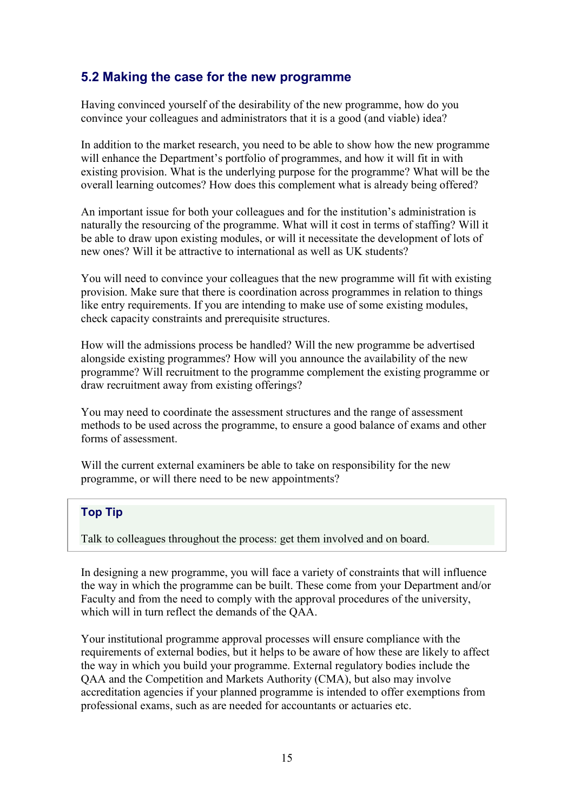### <span id="page-14-0"></span>5.2 Making the case for the new programme

Having convinced yourself of the desirability of the new programme, how do you convince your colleagues and administrators that it is a good (and viable) idea?

In addition to the market research, you need to be able to show how the new programme will enhance the Department's portfolio of programmes, and how it will fit in with existing provision. What is the underlying purpose for the programme? What will be the overall learning outcomes? How does this complement what is already being offered?

An important issue for both your colleagues and for the institution's administration is naturally the resourcing of the programme. What will it cost in terms of staffing? Will it be able to draw upon existing modules, or will it necessitate the development of lots of new ones? Will it be attractive to international as well as UK students?

You will need to convince your colleagues that the new programme will fit with existing provision. Make sure that there is coordination across programmes in relation to things like entry requirements. If you are intending to make use of some existing modules, check capacity constraints and prerequisite structures.

How will the admissions process be handled? Will the new programme be advertised alongside existing programmes? How will you announce the availability of the new programme? Will recruitment to the programme complement the existing programme or draw recruitment away from existing offerings?

You may need to coordinate the assessment structures and the range of assessment methods to be used across the programme, to ensure a good balance of exams and other forms of assessment.

Will the current external examiners be able to take on responsibility for the new programme, or will there need to be new appointments?

#### Top Tip

Talk to colleagues throughout the process: get them involved and on board.

In designing a new programme, you will face a variety of constraints that will influence the way in which the programme can be built. These come from your Department and/or Faculty and from the need to comply with the approval procedures of the university, which will in turn reflect the demands of the QAA.

Your institutional programme approval processes will ensure compliance with the requirements of external bodies, but it helps to be aware of how these are likely to affect the way in which you build your programme. External regulatory bodies include the QAA and the Competition and Markets Authority (CMA), but also may involve accreditation agencies if your planned programme is intended to offer exemptions from professional exams, such as are needed for accountants or actuaries etc.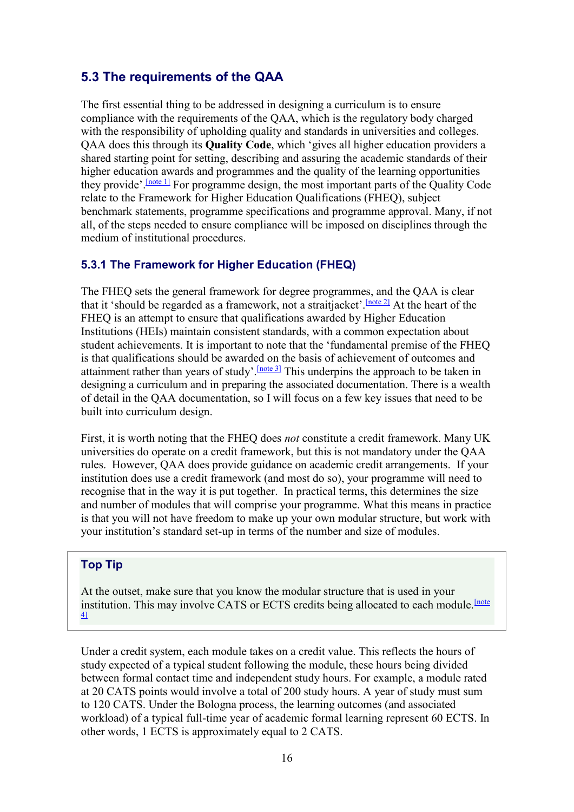### <span id="page-15-0"></span>5.3 The requirements of the QAA

The first essential thing to be addressed in designing a curriculum is to ensure compliance with the requirements of the QAA, which is the regulatory body charged with the responsibility of upholding quality and standards in universities and colleges. QAA does this through its **Quality Code**, which 'gives all higher education providers a shared starting point for setting, describing and assuring the academic standards of their higher education awards and programmes and the quality of the learning opportunities they provide'.[\[note 1\]](https://www.economicsnetwork.ac.uk/#_ftn1) For programme design, the most important parts of the Quality Code relate to the Framework for Higher Education Qualifications (FHEQ), subject benchmark statements, programme specifications and programme approval. Many, if not all, of the steps needed to ensure compliance will be imposed on disciplines through the medium of institutional procedures.

#### 5.3.1 The Framework for Higher Education (FHEQ)

The FHEQ sets the general framework for degree programmes, and the QAA is clear that it 'should be regarded as a framework, not a straitjacket'.  $[note 2]$  At the heart of the FHEQ is an attempt to ensure that qualifications awarded by Higher Education Institutions (HEIs) maintain consistent standards, with a common expectation about student achievements. It is important to note that the 'fundamental premise of the FHEQ is that qualifications should be awarded on the basis of achievement of outcomes and attainment rather than years of study'.  $[note 3]$  $[note 3]$  This underpins the approach to be taken in designing a curriculum and in preparing the associated documentation. There is a wealth of detail in the QAA documentation, so I will focus on a few key issues that need to be built into curriculum design.

First, it is worth noting that the FHEQ does *not* constitute a credit framework. Many UK universities do operate on a credit framework, but this is not mandatory under the QAA rules. However, QAA does provide guidance on academic credit arrangements. If your institution does use a credit framework (and most do so), your programme will need to recognise that in the way it is put together. In practical terms, this determines the size and number of modules that will comprise your programme. What this means in practice is that you will not have freedom to make up your own modular structure, but work with your institution's standard set-up in terms of the number and size of modules.

#### Top Tip

At the outset, make sure that you know the modular structure that is used in your institution. This may involve CATS or ECTS credits being allocated to each module. <sup>Inote</sup> [4\]](https://www.economicsnetwork.ac.uk/#_ftn4)

Under a credit system, each module takes on a credit value. This reflects the hours of study expected of a typical student following the module, these hours being divided between formal contact time and independent study hours. For example, a module rated at 20 CATS points would involve a total of 200 study hours. A year of study must sum to 120 CATS. Under the Bologna process, the learning outcomes (and associated workload) of a typical full-time year of academic formal learning represent 60 ECTS. In other words, 1 ECTS is approximately equal to 2 CATS.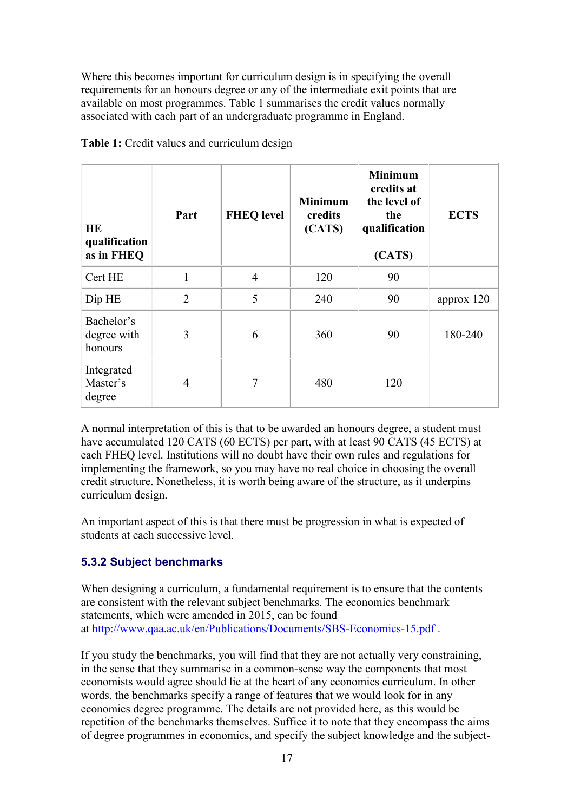Where this becomes important for curriculum design is in specifying the overall requirements for an honours degree or any of the intermediate exit points that are available on most programmes. Table 1 summarises the credit values normally associated with each part of an undergraduate programme in England.

| <b>HE</b><br>qualification<br>as in FHEQ | Part           | <b>FHEQ</b> level | <b>Minimum</b><br>credits<br>(CATS) | <b>Minimum</b><br>credits at<br>the level of<br>the<br>qualification<br>(CATS) | <b>ECTS</b> |
|------------------------------------------|----------------|-------------------|-------------------------------------|--------------------------------------------------------------------------------|-------------|
| Cert HE                                  | 1              | $\overline{4}$    | 120                                 | 90                                                                             |             |
| Dip HE                                   | $\overline{2}$ | 5                 | 240                                 | 90                                                                             | approx 120  |
| Bachelor's<br>degree with<br>honours     | 3              | 6                 | 360                                 | 90                                                                             | 180-240     |
| Integrated<br>Master's<br>degree         | $\overline{4}$ | 7                 | 480                                 | 120                                                                            |             |

**Table 1:** Credit values and curriculum design

A normal interpretation of this is that to be awarded an honours degree, a student must have accumulated 120 CATS (60 ECTS) per part, with at least 90 CATS (45 ECTS) at each FHEQ level. Institutions will no doubt have their own rules and regulations for implementing the framework, so you may have no real choice in choosing the overall credit structure. Nonetheless, it is worth being aware of the structure, as it underpins curriculum design.

An important aspect of this is that there must be progression in what is expected of students at each successive level.

#### 5.3.2 Subject benchmarks

When designing a curriculum, a fundamental requirement is to ensure that the contents are consistent with the relevant subject benchmarks. The economics benchmark statements, which were amended in 2015, can be found at <http://www.qaa.ac.uk/en/Publications/Documents/SBS-Economics-15.pdf> .

If you study the benchmarks, you will find that they are not actually very constraining, in the sense that they summarise in a common-sense way the components that most economists would agree should lie at the heart of any economics curriculum. In other words, the benchmarks specify a range of features that we would look for in any economics degree programme. The details are not provided here, as this would be repetition of the benchmarks themselves. Suffice it to note that they encompass the aims of degree programmes in economics, and specify the subject knowledge and the subject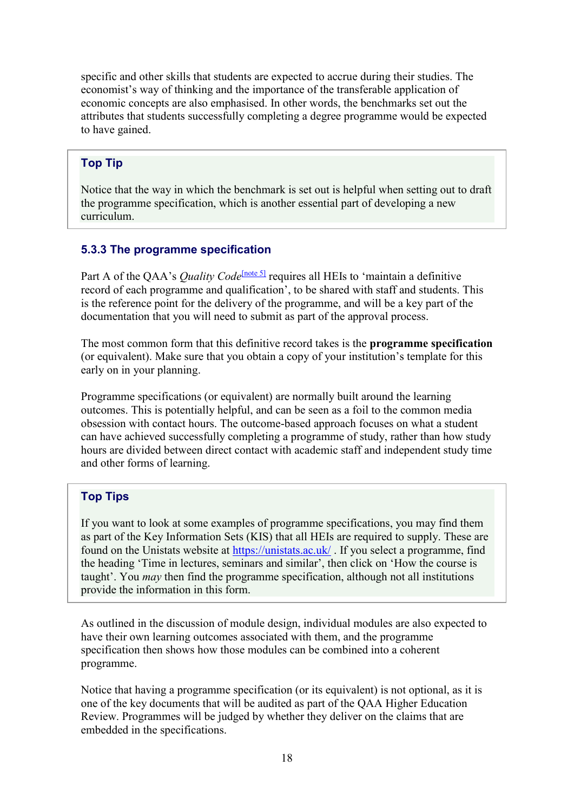specific and other skills that students are expected to accrue during their studies. The economist's way of thinking and the importance of the transferable application of economic concepts are also emphasised. In other words, the benchmarks set out the attributes that students successfully completing a degree programme would be expected to have gained.

#### Top Tip

Notice that the way in which the benchmark is set out is helpful when setting out to draft the programme specification, which is another essential part of developing a new curriculum.

#### 5.3.3 The programme specification

Part A of the QAA's *Quality Code*<sup>[\[note](https://www.economicsnetwork.ac.uk/#_ftn5) 5]</sup> requires all HEIs to 'maintain a definitive record of each programme and qualification', to be shared with staff and students. This is the reference point for the delivery of the programme, and will be a key part of the documentation that you will need to submit as part of the approval process.

The most common form that this definitive record takes is the **programme specification**  (or equivalent). Make sure that you obtain a copy of your institution's template for this early on in your planning.

Programme specifications (or equivalent) are normally built around the learning outcomes. This is potentially helpful, and can be seen as a foil to the common media obsession with contact hours. The outcome-based approach focuses on what a student can have achieved successfully completing a programme of study, rather than how study hours are divided between direct contact with academic staff and independent study time and other forms of learning.

#### Top Tips

If you want to look at some examples of programme specifications, you may find them as part of the Key Information Sets (KIS) that all HEIs are required to supply. These are found on the Unistats website at<https://unistats.ac.uk/> . If you select a programme, find the heading 'Time in lectures, seminars and similar', then click on 'How the course is taught'. You *may* then find the programme specification, although not all institutions provide the information in this form.

As outlined in the discussion of module design, individual modules are also expected to have their own learning outcomes associated with them, and the programme specification then shows how those modules can be combined into a coherent programme.

Notice that having a programme specification (or its equivalent) is not optional, as it is one of the key documents that will be audited as part of the QAA Higher Education Review. Programmes will be judged by whether they deliver on the claims that are embedded in the specifications.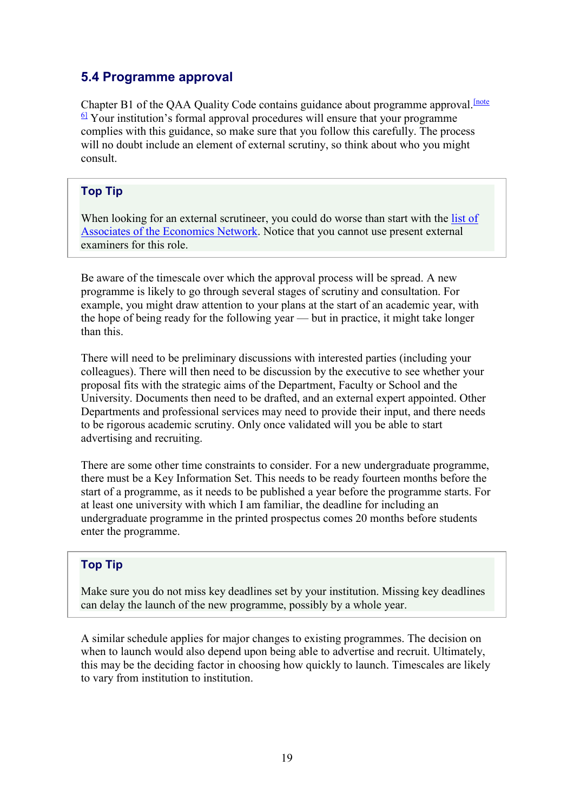# <span id="page-18-0"></span>5.4 Programme approval

Chapter B1 of the QAA Quality Code contains guidance about programme approval.<sup>[note]</sup>  $\frac{6}{1}$  Your institution's formal approval procedures will ensure that your programme complies with this guidance, so make sure that you follow this carefully. The process will no doubt include an element of external scrutiny, so think about who you might consult.

#### Top Tip

When looking for an external scrutineer, you could do worse than start with the list of [Associates of the Economics Network.](https://www.economicsnetwork.ac.uk/contact/associates) Notice that you cannot use present external examiners for this role.

Be aware of the timescale over which the approval process will be spread. A new programme is likely to go through several stages of scrutiny and consultation. For example, you might draw attention to your plans at the start of an academic year, with the hope of being ready for the following year — but in practice, it might take longer than this.

There will need to be preliminary discussions with interested parties (including your colleagues). There will then need to be discussion by the executive to see whether your proposal fits with the strategic aims of the Department, Faculty or School and the University. Documents then need to be drafted, and an external expert appointed. Other Departments and professional services may need to provide their input, and there needs to be rigorous academic scrutiny. Only once validated will you be able to start advertising and recruiting.

There are some other time constraints to consider. For a new undergraduate programme, there must be a Key Information Set. This needs to be ready fourteen months before the start of a programme, as it needs to be published a year before the programme starts. For at least one university with which I am familiar, the deadline for including an undergraduate programme in the printed prospectus comes 20 months before students enter the programme.

#### Top Tip

Make sure you do not miss key deadlines set by your institution. Missing key deadlines can delay the launch of the new programme, possibly by a whole year.

A similar schedule applies for major changes to existing programmes. The decision on when to launch would also depend upon being able to advertise and recruit. Ultimately, this may be the deciding factor in choosing how quickly to launch. Timescales are likely to vary from institution to institution.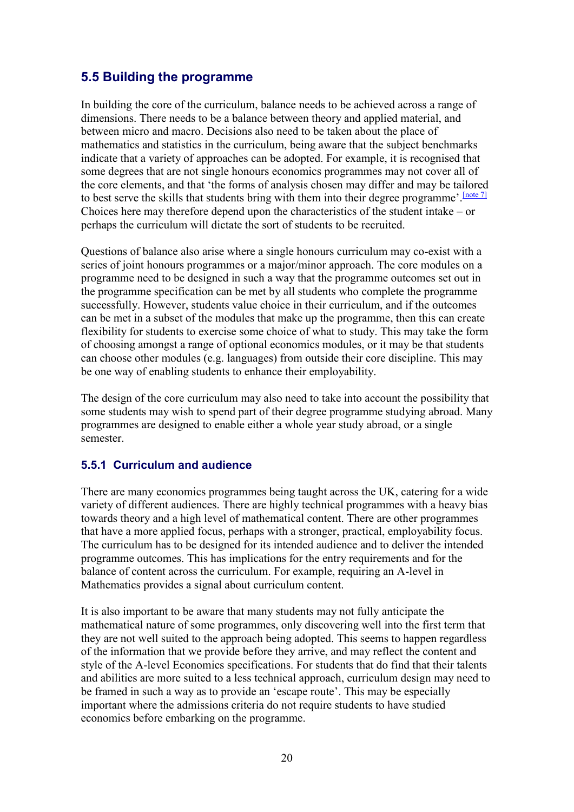# <span id="page-19-0"></span>5.5 Building the programme

In building the core of the curriculum, balance needs to be achieved across a range of dimensions. There needs to be a balance between theory and applied material, and between micro and macro. Decisions also need to be taken about the place of mathematics and statistics in the curriculum, being aware that the subject benchmarks indicate that a variety of approaches can be adopted. For example, it is recognised that some degrees that are not single honours economics programmes may not cover all of the core elements, and that 'the forms of analysis chosen may differ and may be tailored to best serve the skills that students bring with them into their degree programme'.  $[note 7]$ Choices here may therefore depend upon the characteristics of the student intake – or perhaps the curriculum will dictate the sort of students to be recruited.

Questions of balance also arise where a single honours curriculum may co-exist with a series of joint honours programmes or a major/minor approach. The core modules on a programme need to be designed in such a way that the programme outcomes set out in the programme specification can be met by all students who complete the programme successfully. However, students value choice in their curriculum, and if the outcomes can be met in a subset of the modules that make up the programme, then this can create flexibility for students to exercise some choice of what to study. This may take the form of choosing amongst a range of optional economics modules, or it may be that students can choose other modules (e.g. languages) from outside their core discipline. This may be one way of enabling students to enhance their employability.

The design of the core curriculum may also need to take into account the possibility that some students may wish to spend part of their degree programme studying abroad. Many programmes are designed to enable either a whole year study abroad, or a single semester.

#### 5.5.1 Curriculum and audience

There are many economics programmes being taught across the UK, catering for a wide variety of different audiences. There are highly technical programmes with a heavy bias towards theory and a high level of mathematical content. There are other programmes that have a more applied focus, perhaps with a stronger, practical, employability focus. The curriculum has to be designed for its intended audience and to deliver the intended programme outcomes. This has implications for the entry requirements and for the balance of content across the curriculum. For example, requiring an A-level in Mathematics provides a signal about curriculum content.

It is also important to be aware that many students may not fully anticipate the mathematical nature of some programmes, only discovering well into the first term that they are not well suited to the approach being adopted. This seems to happen regardless of the information that we provide before they arrive, and may reflect the content and style of the A-level Economics specifications. For students that do find that their talents and abilities are more suited to a less technical approach, curriculum design may need to be framed in such a way as to provide an 'escape route'. This may be especially important where the admissions criteria do not require students to have studied economics before embarking on the programme.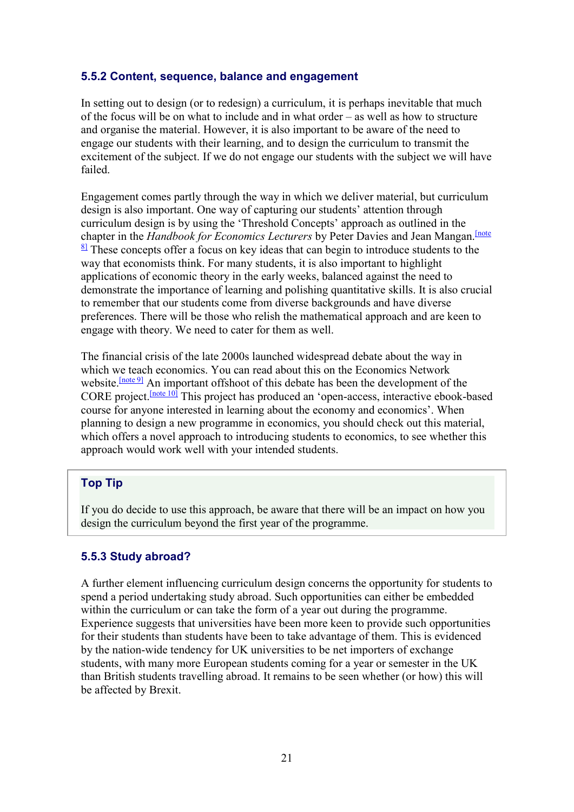#### 5.5.2 Content, sequence, balance and engagement

In setting out to design (or to redesign) a curriculum, it is perhaps inevitable that much of the focus will be on what to include and in what order – as well as how to structure and organise the material. However, it is also important to be aware of the need to engage our students with their learning, and to design the curriculum to transmit the excitement of the subject. If we do not engage our students with the subject we will have failed.

Engagement comes partly through the way in which we deliver material, but curriculum design is also important. One way of capturing our students' attention through curriculum design is by using the 'Threshold Concepts' approach as outlined in the chapter in the *Handbook for Economics Lecturers* by Peter Davies and Jean Mangan.<sup>[note</sup>]  $\frac{81}{2}$  These concepts offer a focus on key ideas that can begin to introduce students to the way that economists think. For many students, it is also important to highlight applications of economic theory in the early weeks, balanced against the need to demonstrate the importance of learning and polishing quantitative skills. It is also crucial to remember that our students come from diverse backgrounds and have diverse preferences. There will be those who relish the mathematical approach and are keen to engage with theory. We need to cater for them as well.

The financial crisis of the late 2000s launched widespread debate about the way in which we teach economics. You can read about this on the Economics Network website.<sup>[\[note 9\]](https://www.economicsnetwork.ac.uk/#_ftn9)</sup> An important offshoot of this debate has been the development of the CORE project.[\[note 10\]](https://www.economicsnetwork.ac.uk/#_ftn10) This project has produced an 'open-access, interactive ebook-based course for anyone interested in learning about the economy and economics'. When planning to design a new programme in economics, you should check out this material, which offers a novel approach to introducing students to economics, to see whether this approach would work well with your intended students.

#### Top Tip

If you do decide to use this approach, be aware that there will be an impact on how you design the curriculum beyond the first year of the programme.

#### 5.5.3 Study abroad?

A further element influencing curriculum design concerns the opportunity for students to spend a period undertaking study abroad. Such opportunities can either be embedded within the curriculum or can take the form of a year out during the programme. Experience suggests that universities have been more keen to provide such opportunities for their students than students have been to take advantage of them. This is evidenced by the nation-wide tendency for UK universities to be net importers of exchange students, with many more European students coming for a year or semester in the UK than British students travelling abroad. It remains to be seen whether (or how) this will be affected by Brexit.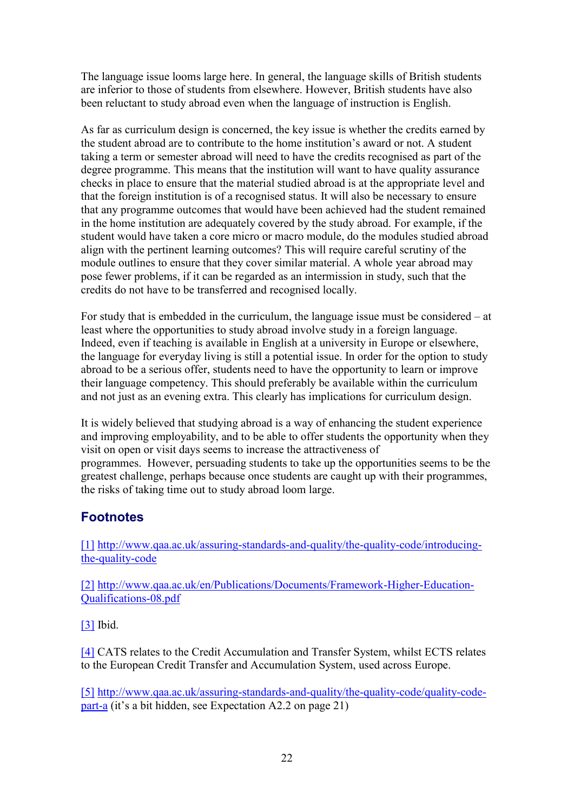The language issue looms large here. In general, the language skills of British students are inferior to those of students from elsewhere. However, British students have also been reluctant to study abroad even when the language of instruction is English.

As far as curriculum design is concerned, the key issue is whether the credits earned by the student abroad are to contribute to the home institution's award or not. A student taking a term or semester abroad will need to have the credits recognised as part of the degree programme. This means that the institution will want to have quality assurance checks in place to ensure that the material studied abroad is at the appropriate level and that the foreign institution is of a recognised status. It will also be necessary to ensure that any programme outcomes that would have been achieved had the student remained in the home institution are adequately covered by the study abroad. For example, if the student would have taken a core micro or macro module, do the modules studied abroad align with the pertinent learning outcomes? This will require careful scrutiny of the module outlines to ensure that they cover similar material. A whole year abroad may pose fewer problems, if it can be regarded as an intermission in study, such that the credits do not have to be transferred and recognised locally.

For study that is embedded in the curriculum, the language issue must be considered – at least where the opportunities to study abroad involve study in a foreign language. Indeed, even if teaching is available in English at a university in Europe or elsewhere, the language for everyday living is still a potential issue. In order for the option to study abroad to be a serious offer, students need to have the opportunity to learn or improve their language competency. This should preferably be available within the curriculum and not just as an evening extra. This clearly has implications for curriculum design.

It is widely believed that studying abroad is a way of enhancing the student experience and improving employability, and to be able to offer students the opportunity when they visit on open or visit days seems to increase the attractiveness of programmes. However, persuading students to take up the opportunities seems to be the greatest challenge, perhaps because once students are caught up with their programmes, the risks of taking time out to study abroad loom large.

# **Footnotes**

[\[1\]](https://www.economicsnetwork.ac.uk/#_ftnref1) [http://www.qaa.ac.uk/assuring-standards-and-quality/the-quality-code/introducing](http://www.qaa.ac.uk/assuring-standards-and-quality/the-quality-code/introducing-the-quality-code)[the-quality-code](http://www.qaa.ac.uk/assuring-standards-and-quality/the-quality-code/introducing-the-quality-code)

[\[2\]](https://www.economicsnetwork.ac.uk/#_ftnref2) [http://www.qaa.ac.uk/en/Publications/Documents/Framework-Higher-Education-](http://www.qaa.ac.uk/en/Publications/Documents/Framework-Higher-Education-Qualifications-08.pdf)[Qualifications-08.pdf](http://www.qaa.ac.uk/en/Publications/Documents/Framework-Higher-Education-Qualifications-08.pdf)

[\[3\]](https://www.economicsnetwork.ac.uk/#_ftnref3) Ibid.

[\[4\]](https://www.economicsnetwork.ac.uk/#_ftnref4) CATS relates to the Credit Accumulation and Transfer System, whilst ECTS relates to the European Credit Transfer and Accumulation System, used across Europe.

[\[5\]](https://www.economicsnetwork.ac.uk/#_ftnref5) [http://www.qaa.ac.uk/assuring-standards-and-quality/the-quality-code/quality-code](http://www.qaa.ac.uk/assuring-standards-and-quality/the-quality-code/quality-code-part-a)[part-a](http://www.qaa.ac.uk/assuring-standards-and-quality/the-quality-code/quality-code-part-a) (it's a bit hidden, see Expectation A2.2 on page 21)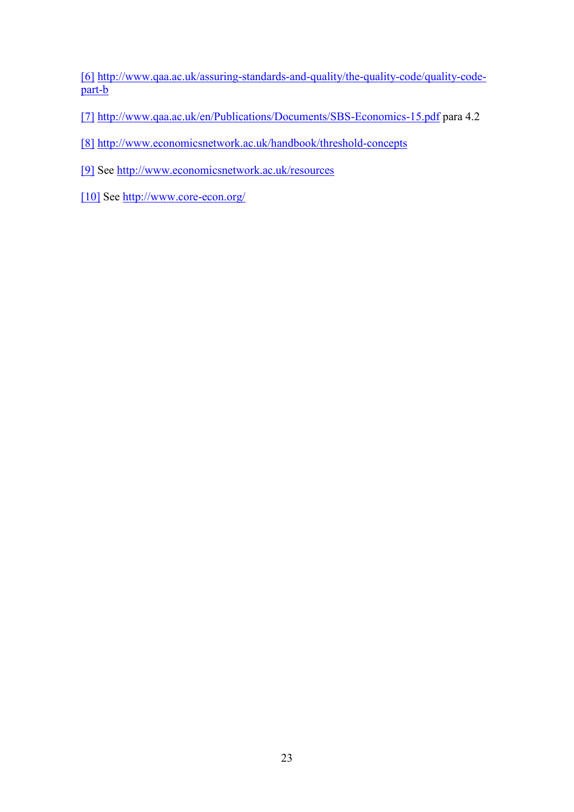[\[6\]](https://www.economicsnetwork.ac.uk/#_ftnref6) [http://www.qaa.ac.uk/assuring-standards-and-quality/the-quality-code/quality-code](http://www.qaa.ac.uk/assuring-standards-and-quality/the-quality-code/quality-code-part-b)[part-b](http://www.qaa.ac.uk/assuring-standards-and-quality/the-quality-code/quality-code-part-b)

[\[7\]](https://www.economicsnetwork.ac.uk/#_ftnref7) <http://www.qaa.ac.uk/en/Publications/Documents/SBS-Economics-15.pdf> para 4.2

[\[8\]](https://www.economicsnetwork.ac.uk/#_ftnref8) <http://www.economicsnetwork.ac.uk/handbook/threshold-concepts>

[\[9\]](https://www.economicsnetwork.ac.uk/#_ftnref9) See<http://www.economicsnetwork.ac.uk/resources>

[\[10\]](https://www.economicsnetwork.ac.uk/#_ftnref10) See<http://www.core-econ.org/>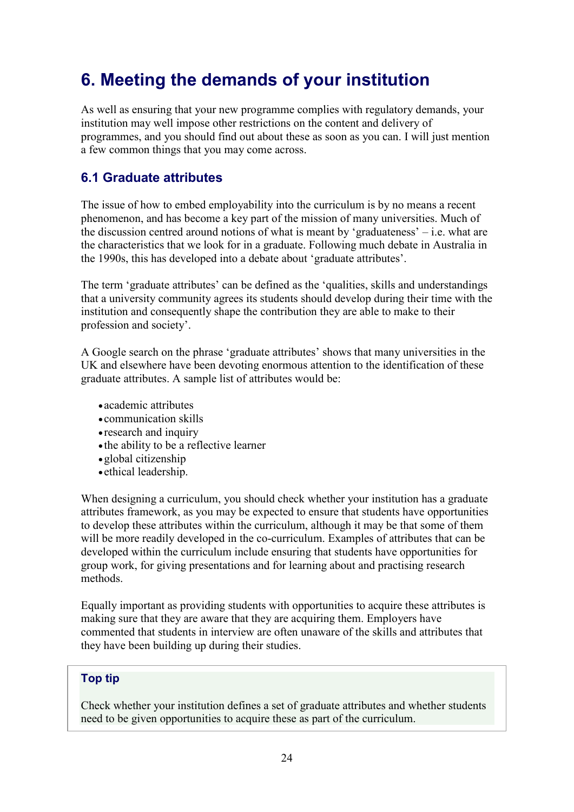# <span id="page-23-0"></span>6. Meeting the demands of your institution

As well as ensuring that your new programme complies with regulatory demands, your institution may well impose other restrictions on the content and delivery of programmes, and you should find out about these as soon as you can. I will just mention a few common things that you may come across.

# <span id="page-23-1"></span>6.1 Graduate attributes

The issue of how to embed employability into the curriculum is by no means a recent phenomenon, and has become a key part of the mission of many universities. Much of the discussion centred around notions of what is meant by 'graduateness'  $-$  i.e. what are the characteristics that we look for in a graduate. Following much debate in Australia in the 1990s, this has developed into a debate about 'graduate attributes'.

The term 'graduate attributes' can be defined as the 'qualities, skills and understandings that a university community agrees its students should develop during their time with the institution and consequently shape the contribution they are able to make to their profession and society'.

A Google search on the phrase 'graduate attributes' shows that many universities in the UK and elsewhere have been devoting enormous attention to the identification of these graduate attributes. A sample list of attributes would be:

- academic attributes
- communication skills
- research and inquiry
- the ability to be a reflective learner
- •global citizenship
- ethical leadership.

When designing a curriculum, you should check whether your institution has a graduate attributes framework, as you may be expected to ensure that students have opportunities to develop these attributes within the curriculum, although it may be that some of them will be more readily developed in the co-curriculum. Examples of attributes that can be developed within the curriculum include ensuring that students have opportunities for group work, for giving presentations and for learning about and practising research methods.

Equally important as providing students with opportunities to acquire these attributes is making sure that they are aware that they are acquiring them. Employers have commented that students in interview are often unaware of the skills and attributes that they have been building up during their studies.

#### Top tip

Check whether your institution defines a set of graduate attributes and whether students need to be given opportunities to acquire these as part of the curriculum.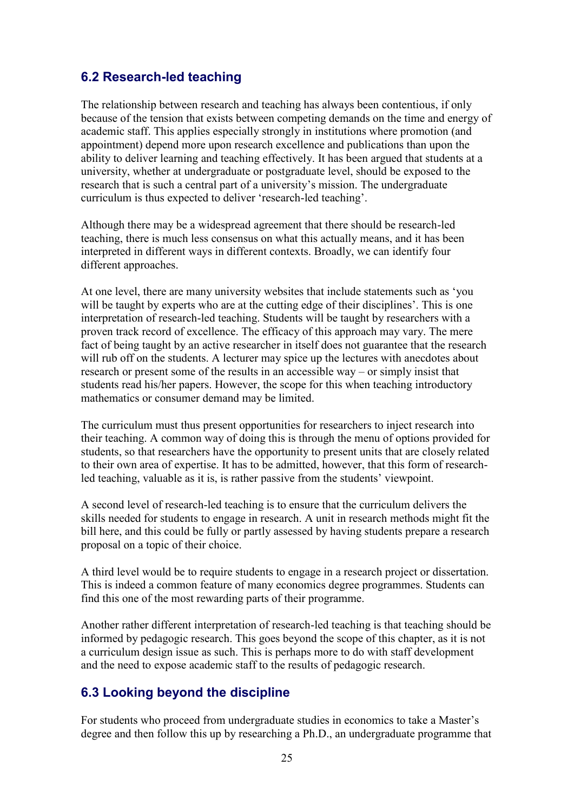### <span id="page-24-0"></span>6.2 Research-led teaching

The relationship between research and teaching has always been contentious, if only because of the tension that exists between competing demands on the time and energy of academic staff. This applies especially strongly in institutions where promotion (and appointment) depend more upon research excellence and publications than upon the ability to deliver learning and teaching effectively. It has been argued that students at a university, whether at undergraduate or postgraduate level, should be exposed to the research that is such a central part of a university's mission. The undergraduate curriculum is thus expected to deliver 'research-led teaching'.

Although there may be a widespread agreement that there should be research-led teaching, there is much less consensus on what this actually means, and it has been interpreted in different ways in different contexts. Broadly, we can identify four different approaches.

At one level, there are many university websites that include statements such as 'you will be taught by experts who are at the cutting edge of their disciplines'. This is one interpretation of research-led teaching. Students will be taught by researchers with a proven track record of excellence. The efficacy of this approach may vary. The mere fact of being taught by an active researcher in itself does not guarantee that the research will rub off on the students. A lecturer may spice up the lectures with anecdotes about research or present some of the results in an accessible way – or simply insist that students read his/her papers. However, the scope for this when teaching introductory mathematics or consumer demand may be limited.

The curriculum must thus present opportunities for researchers to inject research into their teaching. A common way of doing this is through the menu of options provided for students, so that researchers have the opportunity to present units that are closely related to their own area of expertise. It has to be admitted, however, that this form of researchled teaching, valuable as it is, is rather passive from the students' viewpoint.

A second level of research-led teaching is to ensure that the curriculum delivers the skills needed for students to engage in research. A unit in research methods might fit the bill here, and this could be fully or partly assessed by having students prepare a research proposal on a topic of their choice.

A third level would be to require students to engage in a research project or dissertation. This is indeed a common feature of many economics degree programmes. Students can find this one of the most rewarding parts of their programme.

Another rather different interpretation of research-led teaching is that teaching should be informed by pedagogic research. This goes beyond the scope of this chapter, as it is not a curriculum design issue as such. This is perhaps more to do with staff development and the need to expose academic staff to the results of pedagogic research.

#### <span id="page-24-1"></span>6.3 Looking beyond the discipline

For students who proceed from undergraduate studies in economics to take a Master's degree and then follow this up by researching a Ph.D., an undergraduate programme that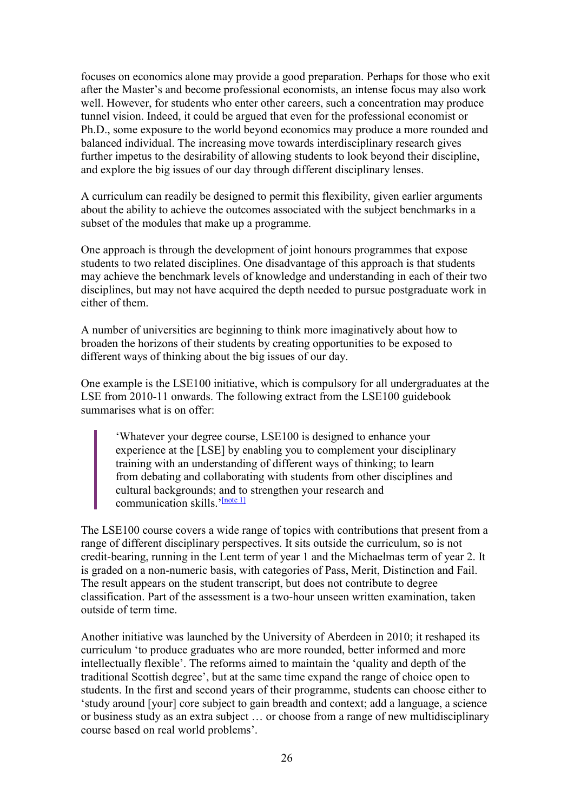focuses on economics alone may provide a good preparation. Perhaps for those who exit after the Master's and become professional economists, an intense focus may also work well. However, for students who enter other careers, such a concentration may produce tunnel vision. Indeed, it could be argued that even for the professional economist or Ph.D., some exposure to the world beyond economics may produce a more rounded and balanced individual. The increasing move towards interdisciplinary research gives further impetus to the desirability of allowing students to look beyond their discipline, and explore the big issues of our day through different disciplinary lenses.

A curriculum can readily be designed to permit this flexibility, given earlier arguments about the ability to achieve the outcomes associated with the subject benchmarks in a subset of the modules that make up a programme.

One approach is through the development of joint honours programmes that expose students to two related disciplines. One disadvantage of this approach is that students may achieve the benchmark levels of knowledge and understanding in each of their two disciplines, but may not have acquired the depth needed to pursue postgraduate work in either of them.

A number of universities are beginning to think more imaginatively about how to broaden the horizons of their students by creating opportunities to be exposed to different ways of thinking about the big issues of our day.

One example is the LSE100 initiative, which is compulsory for all undergraduates at the LSE from 2010-11 onwards. The following extract from the LSE100 guidebook summarises what is on offer:

'Whatever your degree course, LSE100 is designed to enhance your experience at the [LSE] by enabling you to complement your disciplinary training with an understanding of different ways of thinking; to learn from debating and collaborating with students from other disciplines and cultural backgrounds; and to strengthen your research and communication skills.<sup>'[\[note 1\]](https://www.economicsnetwork.ac.uk/#_ftn1)</sup>

The LSE100 course covers a wide range of topics with contributions that present from a range of different disciplinary perspectives. It sits outside the curriculum, so is not credit-bearing, running in the Lent term of year 1 and the Michaelmas term of year 2. It is graded on a non-numeric basis, with categories of Pass, Merit, Distinction and Fail. The result appears on the student transcript, but does not contribute to degree classification. Part of the assessment is a two-hour unseen written examination, taken outside of term time.

Another initiative was launched by the University of Aberdeen in 2010; it reshaped its curriculum 'to produce graduates who are more rounded, better informed and more intellectually flexible'. The reforms aimed to maintain the 'quality and depth of the traditional Scottish degree', but at the same time expand the range of choice open to students. In the first and second years of their programme, students can choose either to 'study around [your] core subject to gain breadth and context; add a language, a science or business study as an extra subject … or choose from a range of new multidisciplinary course based on real world problems'.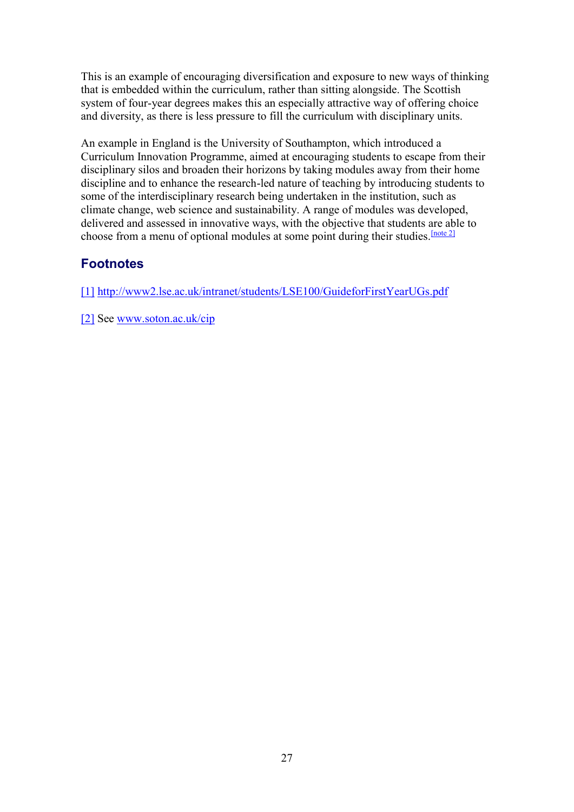This is an example of encouraging diversification and exposure to new ways of thinking that is embedded within the curriculum, rather than sitting alongside. The Scottish system of four-year degrees makes this an especially attractive way of offering choice and diversity, as there is less pressure to fill the curriculum with disciplinary units.

An example in England is the University of Southampton, which introduced a Curriculum Innovation Programme, aimed at encouraging students to escape from their disciplinary silos and broaden their horizons by taking modules away from their home discipline and to enhance the research-led nature of teaching by introducing students to some of the interdisciplinary research being undertaken in the institution, such as climate change, web science and sustainability. A range of modules was developed, delivered and assessed in innovative ways, with the objective that students are able to choose from a menu of optional modules at some point during their studies.  $[note 2]$ 

# **Footnotes**

[\[1\]](https://www.economicsnetwork.ac.uk/#_ftnref1) <http://www2.lse.ac.uk/intranet/students/LSE100/GuideforFirstYearUGs.pdf>

[\[2\]](https://www.economicsnetwork.ac.uk/#_ftnref2) See [www.soton.ac.uk/cip](http://www.soton.ac.uk/cip)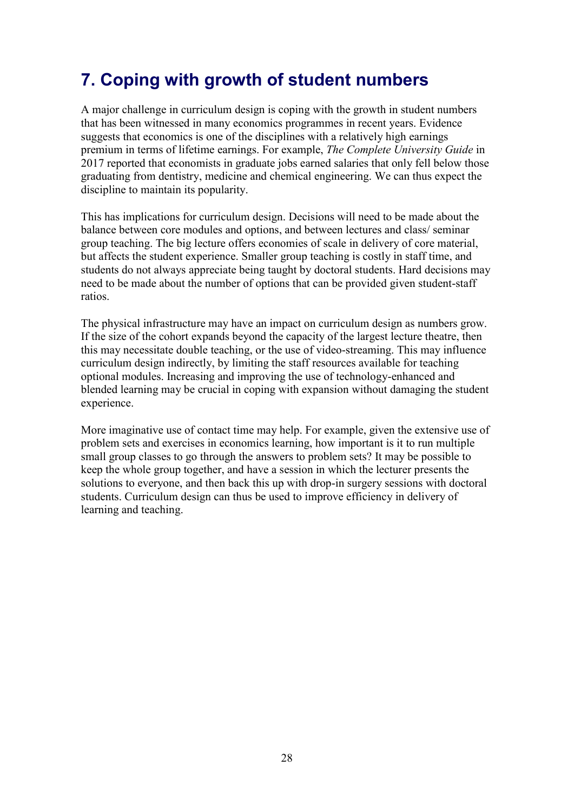# <span id="page-27-0"></span>7. Coping with growth of student numbers

A major challenge in curriculum design is coping with the growth in student numbers that has been witnessed in many economics programmes in recent years. Evidence suggests that economics is one of the disciplines with a relatively high earnings premium in terms of lifetime earnings. For example, *The Complete University Guide* in 2017 reported that economists in graduate jobs earned salaries that only fell below those graduating from dentistry, medicine and chemical engineering. We can thus expect the discipline to maintain its popularity.

This has implications for curriculum design. Decisions will need to be made about the balance between core modules and options, and between lectures and class/ seminar group teaching. The big lecture offers economies of scale in delivery of core material, but affects the student experience. Smaller group teaching is costly in staff time, and students do not always appreciate being taught by doctoral students. Hard decisions may need to be made about the number of options that can be provided given student-staff ratios.

The physical infrastructure may have an impact on curriculum design as numbers grow. If the size of the cohort expands beyond the capacity of the largest lecture theatre, then this may necessitate double teaching, or the use of video-streaming. This may influence curriculum design indirectly, by limiting the staff resources available for teaching optional modules. Increasing and improving the use of technology-enhanced and blended learning may be crucial in coping with expansion without damaging the student experience.

More imaginative use of contact time may help. For example, given the extensive use of problem sets and exercises in economics learning, how important is it to run multiple small group classes to go through the answers to problem sets? It may be possible to keep the whole group together, and have a session in which the lecturer presents the solutions to everyone, and then back this up with drop-in surgery sessions with doctoral students. Curriculum design can thus be used to improve efficiency in delivery of learning and teaching.